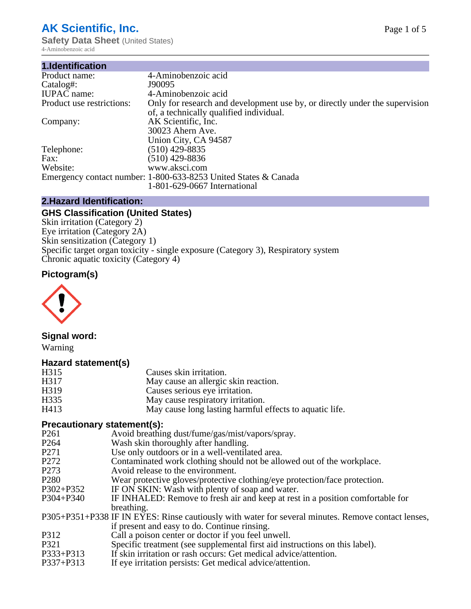# **AK Scientific, Inc.**

**Safety Data Sheet** (United States) 4-Aminobenzoic acid

| 1.Identification          |                                                                             |
|---------------------------|-----------------------------------------------------------------------------|
| Product name:             | 4-Aminobenzoic acid                                                         |
| Catalog#:                 | J90095                                                                      |
| <b>IUPAC</b> name:        | 4-Aminobenzoic acid                                                         |
| Product use restrictions: | Only for research and development use by, or directly under the supervision |
|                           | of, a technically qualified individual.                                     |
| Company:                  | AK Scientific, Inc.                                                         |
|                           | 30023 Ahern Ave.                                                            |
|                           | Union City, CA 94587                                                        |
| Telephone:                | $(510)$ 429-8835                                                            |
| Fax:                      | $(510)$ 429-8836                                                            |
| Website:                  | www.aksci.com                                                               |
|                           | Emergency contact number: 1-800-633-8253 United States & Canada             |
|                           | 1-801-629-0667 International                                                |

#### **2.Hazard Identification:**

## **GHS Classification (United States)**

Skin irritation (Category 2) Eye irritation (Category 2A) Skin sensitization (Category 1) Specific target organ toxicity - single exposure (Category 3), Respiratory system Chronic aquatic toxicity (Category 4)

## **Pictogram(s)**



## **Signal word:**

Warning

#### **Hazard statement(s)**

| H315 | Causes skin irritation.                                 |
|------|---------------------------------------------------------|
| H317 | May cause an allergic skin reaction.                    |
| H319 | Causes serious eye irritation.                          |
| H335 | May cause respiratory irritation.                       |
| H413 | May cause long lasting harmful effects to aquatic life. |

## **Precautionary statement(s):**

| P <sub>261</sub> | Avoid breathing dust/fume/gas/mist/vapors/spray.                                                   |
|------------------|----------------------------------------------------------------------------------------------------|
| P <sub>264</sub> | Wash skin thoroughly after handling.                                                               |
| P <sub>271</sub> | Use only outdoors or in a well-ventilated area.                                                    |
| P <sub>272</sub> | Contaminated work clothing should not be allowed out of the workplace.                             |
| P <sub>273</sub> | Avoid release to the environment.                                                                  |
| P <sub>280</sub> | Wear protective gloves/protective clothing/eye protection/face protection.                         |
| P302+P352        | IF ON SKIN: Wash with plenty of soap and water.                                                    |
| P304+P340        | IF INHALED: Remove to fresh air and keep at rest in a position comfortable for                     |
|                  | breathing.                                                                                         |
|                  | P305+P351+P338 IF IN EYES: Rinse cautiously with water for several minutes. Remove contact lenses, |
|                  | if present and easy to do. Continue rinsing.                                                       |
| P312             | Call a poison center or doctor if you feel unwell.                                                 |
| P321             | Specific treatment (see supplemental first aid instructions on this label).                        |
| P333+P313        | If skin irritation or rash occurs: Get medical advice/attention.                                   |
| P337+P313        | If eye irritation persists: Get medical advice/attention.                                          |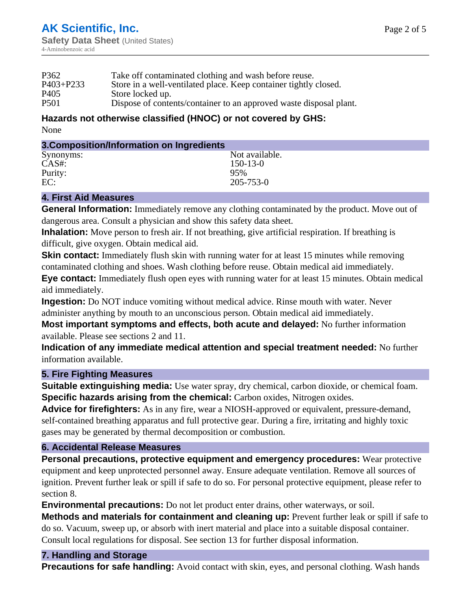| P <sub>362</sub> | Take off contaminated clothing and wash before reuse.              |
|------------------|--------------------------------------------------------------------|
| $P403 + P233$    | Store in a well-ventilated place. Keep container tightly closed.   |
| P <sub>405</sub> | Store locked up.                                                   |
| P <sub>501</sub> | Dispose of contents/container to an approved waste disposal plant. |

#### **Hazards not otherwise classified (HNOC) or not covered by GHS:** None

| 3. Composition/Information on Ingredients |                 |
|-------------------------------------------|-----------------|
| Synonyms:                                 | Not available.  |
| CAS#:                                     | $150 - 13 - 0$  |
| Purity:                                   | 95%             |
| EC:                                       | $205 - 753 - 0$ |

## **4. First Aid Measures**

**General Information:** Immediately remove any clothing contaminated by the product. Move out of dangerous area. Consult a physician and show this safety data sheet.

**Inhalation:** Move person to fresh air. If not breathing, give artificial respiration. If breathing is difficult, give oxygen. Obtain medical aid.

**Skin contact:** Immediately flush skin with running water for at least 15 minutes while removing contaminated clothing and shoes. Wash clothing before reuse. Obtain medical aid immediately.

**Eye contact:** Immediately flush open eyes with running water for at least 15 minutes. Obtain medical aid immediately.

**Ingestion:** Do NOT induce vomiting without medical advice. Rinse mouth with water. Never administer anything by mouth to an unconscious person. Obtain medical aid immediately.

**Most important symptoms and effects, both acute and delayed:** No further information available. Please see sections 2 and 11.

**Indication of any immediate medical attention and special treatment needed:** No further information available.

## **5. Fire Fighting Measures**

**Suitable extinguishing media:** Use water spray, dry chemical, carbon dioxide, or chemical foam. **Specific hazards arising from the chemical:** Carbon oxides, Nitrogen oxides.

**Advice for firefighters:** As in any fire, wear a NIOSH-approved or equivalent, pressure-demand, self-contained breathing apparatus and full protective gear. During a fire, irritating and highly toxic gases may be generated by thermal decomposition or combustion.

## **6. Accidental Release Measures**

**Personal precautions, protective equipment and emergency procedures:** Wear protective equipment and keep unprotected personnel away. Ensure adequate ventilation. Remove all sources of ignition. Prevent further leak or spill if safe to do so. For personal protective equipment, please refer to section 8.

**Environmental precautions:** Do not let product enter drains, other waterways, or soil.

**Methods and materials for containment and cleaning up:** Prevent further leak or spill if safe to do so. Vacuum, sweep up, or absorb with inert material and place into a suitable disposal container. Consult local regulations for disposal. See section 13 for further disposal information.

## **7. Handling and Storage**

**Precautions for safe handling:** Avoid contact with skin, eyes, and personal clothing. Wash hands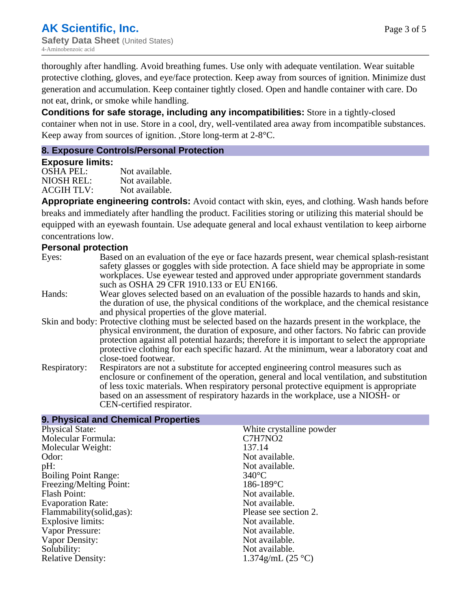thoroughly after handling. Avoid breathing fumes. Use only with adequate ventilation. Wear suitable protective clothing, gloves, and eye/face protection. Keep away from sources of ignition. Minimize dust generation and accumulation. Keep container tightly closed. Open and handle container with care. Do not eat, drink, or smoke while handling.

**Conditions for safe storage, including any incompatibilities:** Store in a tightly-closed container when not in use. Store in a cool, dry, well-ventilated area away from incompatible substances. Keep away from sources of ignition. ,Store long-term at 2-8°C.

#### **8. Exposure Controls/Personal Protection**

#### **Exposure limits:**

OSHA PEL: Not available. NIOSH REL: Not available.<br>ACGIH TLV: Not available. ACGIH TLV:

**Appropriate engineering controls:** Avoid contact with skin, eyes, and clothing. Wash hands before breaks and immediately after handling the product. Facilities storing or utilizing this material should be equipped with an eyewash fountain. Use adequate general and local exhaust ventilation to keep airborne concentrations low.

#### **Personal protection**

- Eyes: Based on an evaluation of the eye or face hazards present, wear chemical splash-resistant safety glasses or goggles with side protection. A face shield may be appropriate in some workplaces. Use eyewear tested and approved under appropriate government standards such as OSHA 29 CFR 1910.133 or EU EN166.
- Hands: Wear gloves selected based on an evaluation of the possible hazards to hands and skin, the duration of use, the physical conditions of the workplace, and the chemical resistance and physical properties of the glove material.
- Skin and body: Protective clothing must be selected based on the hazards present in the workplace, the physical environment, the duration of exposure, and other factors. No fabric can provide protection against all potential hazards; therefore it is important to select the appropriate protective clothing for each specific hazard. At the minimum, wear a laboratory coat and close-toed footwear.
- Respiratory: Respirators are not a substitute for accepted engineering control measures such as enclosure or confinement of the operation, general and local ventilation, and substitution of less toxic materials. When respiratory personal protective equipment is appropriate based on an assessment of respiratory hazards in the workplace, use a NIOSH- or CEN-certified respirator.

| 9. Physical and Chemical Properties |                          |  |
|-------------------------------------|--------------------------|--|
| <b>Physical State:</b>              | White crystalline powder |  |
| Molecular Formula:                  | C7H7NO <sub>2</sub>      |  |
| Molecular Weight:                   | 137.14                   |  |
| Odor:                               | Not available.           |  |
| pH:                                 | Not available.           |  |
| <b>Boiling Point Range:</b>         | $340^{\circ}$ C          |  |
| Freezing/Melting Point:             | $186 - 189$ °C           |  |
| Flash Point:                        | Not available.           |  |
| <b>Evaporation Rate:</b>            | Not available.           |  |
| Flammability (solid, gas):          | Please see section 2.    |  |
| Explosive limits:                   | Not available.           |  |
| Vapor Pressure:                     | Not available.           |  |
| Vapor Density:                      | Not available.           |  |
| Solubility:                         | Not available.           |  |
| <b>Relative Density:</b>            | $1.374$ g/mL (25 °C)     |  |
|                                     |                          |  |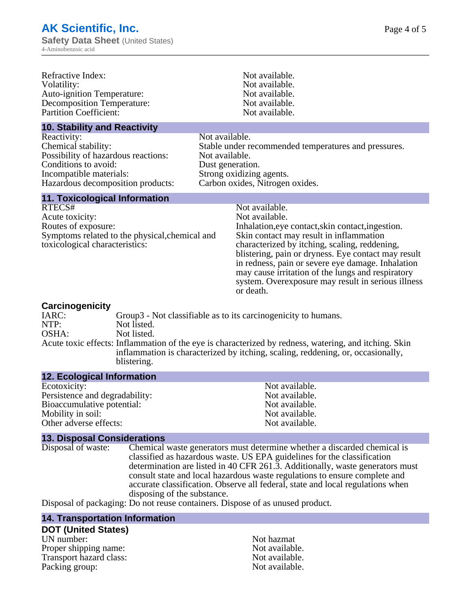| Refractive Index:<br>Volatility:<br>Auto-ignition Temperature:<br><b>Decomposition Temperature:</b><br><b>Partition Coefficient:</b>                              | Not available.<br>Not available.<br>Not available.<br>Not available.<br>Not available.                                                                                                                                                                                                                                                                                                                                |  |
|-------------------------------------------------------------------------------------------------------------------------------------------------------------------|-----------------------------------------------------------------------------------------------------------------------------------------------------------------------------------------------------------------------------------------------------------------------------------------------------------------------------------------------------------------------------------------------------------------------|--|
| <b>10. Stability and Reactivity</b>                                                                                                                               |                                                                                                                                                                                                                                                                                                                                                                                                                       |  |
| Reactivity:<br>Chemical stability:<br>Possibility of hazardous reactions:<br>Conditions to avoid:<br>Incompatible materials:<br>Hazardous decomposition products: | Not available.<br>Stable under recommended temperatures and pressures.<br>Not available.<br>Dust generation.<br>Strong oxidizing agents.<br>Carbon oxides, Nitrogen oxides.                                                                                                                                                                                                                                           |  |
| <b>11. Toxicological Information</b>                                                                                                                              |                                                                                                                                                                                                                                                                                                                                                                                                                       |  |
| RTECS#<br>Acute toxicity:<br>Routes of exposure:<br>Symptoms related to the physical, chemical and<br>toxicological characteristics:                              | Not available.<br>Not available.<br>Inhalation, eye contact, skin contact, ingestion.<br>Skin contact may result in inflammation<br>characterized by itching, scaling, reddening,<br>blistering, pain or dryness. Eye contact may result<br>in redness, pain or severe eye damage. Inhalation<br>may cause irritation of the lungs and respiratory<br>system. Overexposure may result in serious illness<br>or death. |  |
| Carcinogenicity<br>$T \wedge D \cap \ldots$                                                                                                                       | Crown? Not close tights as to its consinuarity to by mans                                                                                                                                                                                                                                                                                                                                                             |  |

| IARC: | Group3 - Not classifiable as to its carcinogenicity to humans.                                                                                                                                          |
|-------|---------------------------------------------------------------------------------------------------------------------------------------------------------------------------------------------------------|
| NTP:  | Not listed.                                                                                                                                                                                             |
| OSHA: | Not listed.                                                                                                                                                                                             |
|       | Acute toxic effects: Inflammation of the eye is characterized by redness, watering, and itching. Skin<br>inflammation is characterized by itching, scaling, reddening, or, occasionally,<br>blistering. |
|       |                                                                                                                                                                                                         |

#### **12. Ecological Information**

| Not available. |
|----------------|
| Not available. |
| Not available. |
| Not available. |
| Not available. |
|                |

**13. Disposal Considerations** Chemical waste generators must determine whether a discarded chemical is classified as hazardous waste. US EPA guidelines for the classification determination are listed in 40 CFR 261.3. Additionally, waste generators must consult state and local hazardous waste regulations to ensure complete and accurate classification. Observe all federal, state and local regulations when disposing of the substance.

Disposal of packaging: Do not reuse containers. Dispose of as unused product.

#### **14. Transportation Information**

## **DOT (United States)**

UN number: Not hazmat Proper shipping name:<br>
Transport hazard class:<br>
Not available.<br>
Not available. Transport hazard class:<br>
Packing group: Not available.<br>
Not available. Packing group: